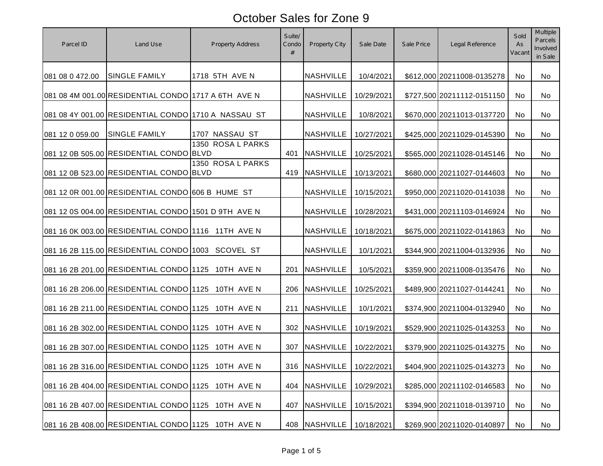| Parcel ID       | Land Use                                            | Property Address  | Suite/<br>Condo<br># | Property City            | Sale Date  | Sale Price | Legal Reference            | Sold<br>As<br>Vacani | <b>Multiple</b><br><b>Parcels</b><br>Involved<br>in Sale |
|-----------------|-----------------------------------------------------|-------------------|----------------------|--------------------------|------------|------------|----------------------------|----------------------|----------------------------------------------------------|
| 081 08 0 472.00 | <b>SINGLE FAMILY</b>                                | 1718 5TH AVE N    |                      | <b>NASHVILLE</b>         | 10/4/2021  |            | \$612,000 20211008-0135278 | No                   | No                                                       |
|                 | 081 08 4M 001.00 RESIDENTIAL CONDO 1717 A 6TH AVE N |                   |                      | <b>NASHVILLE</b>         | 10/29/2021 |            | \$727,500 20211112-0151150 | No.                  | No                                                       |
|                 | 081 08 4Y 001.00 RESIDENTIAL CONDO 1710 A NASSAU ST |                   |                      | <b>NASHVILLE</b>         | 10/8/2021  |            | \$670,000 20211013-0137720 | <b>No</b>            | No                                                       |
| 081 12 0 059.00 | <b>SINGLE FAMILY</b>                                | 1707 NASSAU ST    |                      | <b>NASHVILLE</b>         | 10/27/2021 |            | \$425,000 20211029-0145390 | No.                  | No                                                       |
|                 | 081 12 0B 505.00 RESIDENTIAL CONDO BLVD             | 1350 ROSA L PARKS | 401                  | <b>NASHVILLE</b>         | 10/25/2021 |            | \$565,000 20211028-0145146 | No.                  | No                                                       |
|                 | 081 12 0B 523.00 RESIDENTIAL CONDO BLVD             | 1350 ROSA L PARKS | 419                  | <b>NASHVILLE</b>         | 10/13/2021 |            | \$680,000 20211027-0144603 | No.                  | No                                                       |
|                 | 081 12 0R 001.00 RESIDENTIAL CONDO 606 B HUME ST    |                   |                      | <b>NASHVILLE</b>         | 10/15/2021 |            | \$950,000 20211020-0141038 | No                   | No                                                       |
|                 | 081 12 0S 004.00 RESIDENTIAL CONDO 1501 D 9TH AVE N |                   |                      | <b>NASHVILLE</b>         | 10/28/2021 |            | \$431,000 20211103-0146924 | No                   | No                                                       |
|                 | 081 16 0K 003.00 RESIDENTIAL CONDO 1116 11TH AVE N  |                   |                      | <b>NASHVILLE</b>         | 10/18/2021 |            | \$675,000 20211022-0141863 | <b>No</b>            | No                                                       |
|                 | 081 16 2B 115.00 RESIDENTIAL CONDO 1003             | SCOVEL ST         |                      | <b>NASHVILLE</b>         | 10/1/2021  |            | \$344,900 20211004-0132936 | <b>No</b>            | No                                                       |
|                 | 081 16 2B 201.00 RESIDENTIAL CONDO 1125 10TH AVE N  |                   | 201                  | <b>NASHVILLE</b>         | 10/5/2021  |            | \$359,900 20211008-0135476 | <b>No</b>            | No                                                       |
|                 | 081 16 2B 206.00 RESIDENTIAL CONDO 1125 10TH AVE N  |                   | 206                  | <b>NASHVILLE</b>         | 10/25/2021 |            | \$489,900 20211027-0144241 | <b>No</b>            | No                                                       |
|                 | 081 16 2B 211.00 RESIDENTIAL CONDO 1125 10TH AVE N  |                   | 211                  | <b>NASHVILLE</b>         | 10/1/2021  |            | \$374,900 20211004-0132940 | No.                  | No                                                       |
|                 | 081 16 2B 302.00 RESIDENTIAL CONDO 1125 10TH AVE N  |                   | 302                  | <b>NASHVILLE</b>         | 10/19/2021 |            | \$529,900 20211025-0143253 | No.                  | No                                                       |
|                 | 081 16 2B 307.00 RESIDENTIAL CONDO 1125 10TH AVE N  |                   | 307                  | <b>NASHVILLE</b>         | 10/22/2021 |            | \$379,900 20211025-0143275 | <b>No</b>            | <b>No</b>                                                |
|                 | 081 16 2B 316.00 RESIDENTIAL CONDO 1125 10TH AVE N  |                   |                      | 316 NASHVILLE 10/22/2021 |            |            | \$404,900 20211025-0143273 | No.                  | No                                                       |
|                 | 081 16 2B 404.00 RESIDENTIAL CONDO 1125 10TH AVE N  |                   | 404                  | <b>NASHVILLE</b>         | 10/29/2021 |            | \$285,000 20211102-0146583 | No                   | No                                                       |
|                 | 081 16 2B 407.00 RESIDENTIAL CONDO 1125 10TH AVE N  |                   | 407                  | <b>NASHVILLE</b>         | 10/15/2021 |            | \$394,900 20211018-0139710 | No                   | No                                                       |
|                 | 081 16 2B 408.00 RESIDENTIAL CONDO 1125 10TH AVE N  |                   | 408                  | <b>NASHVILLE</b>         | 10/18/2021 |            | \$269,900 20211020-0140897 | No                   | No                                                       |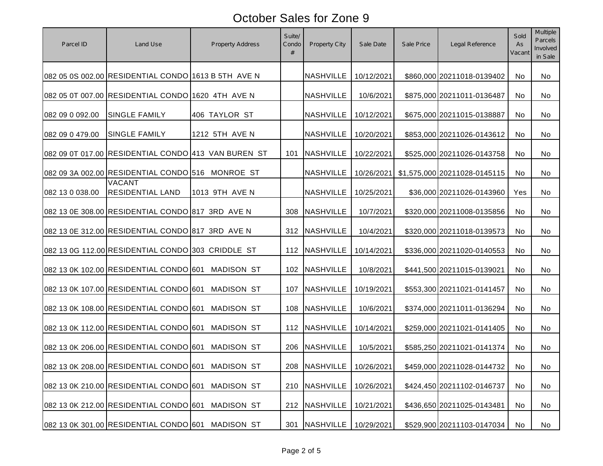| Parcel ID       | Land Use                                            | <b>Property Address</b> | Suite/<br>Condo<br># | Property City                | Sale Date  | Sale Price | Legal Reference              | Sold<br>As<br>Vacan | <b>Multiple</b><br><b>Parcels</b><br>Involved<br>in Sale |
|-----------------|-----------------------------------------------------|-------------------------|----------------------|------------------------------|------------|------------|------------------------------|---------------------|----------------------------------------------------------|
|                 | 082 05 0S 002.00 RESIDENTIAL CONDO 1613 B 5TH AVE N |                         |                      | <b>NASHVILLE</b>             | 10/12/2021 |            | \$860,000 20211018-0139402   | No                  | No                                                       |
|                 | 082 05 0T 007.00 RESIDENTIAL CONDO 1620 4TH AVE N   |                         |                      | <b>NASHVILLE</b>             | 10/6/2021  |            | \$875,000 20211011-0136487   | No                  | No                                                       |
| 082 09 0 092.00 | <b>SINGLE FAMILY</b>                                | 406 TAYLOR ST           |                      | <b>NASHVILLE</b>             | 10/12/2021 |            | \$675,000 20211015-0138887   | No                  | No                                                       |
| 082 09 0 479.00 | <b>SINGLE FAMILY</b>                                | 1212 5TH AVE N          |                      | <b>NASHVILLE</b>             | 10/20/2021 |            | \$853,000 20211026-0143612   | No                  | No                                                       |
|                 | 082 09 0T 017.00 RESIDENTIAL CONDO 413 VAN BUREN ST |                         | 101                  | <b>NASHVILLE</b>             | 10/22/2021 |            | \$525,000 20211026-0143758   | No                  | No                                                       |
|                 | 082 09 3A 002.00 RESIDENTIAL CONDO 516 MONROE ST    |                         |                      | <b>NASHVILLE</b>             | 10/26/2021 |            | \$1,575,000 20211028-0145115 | No                  | No                                                       |
| 082 13 0 038.00 | <b>VACANT</b><br><b>RESIDENTIAL LAND</b>            | 1013 9TH AVE N          |                      | <b>NASHVILLE</b>             | 10/25/2021 |            | \$36,000 20211026-0143960    | Yes                 | No                                                       |
|                 | 082 13 0E 308.00 RESIDENTIAL CONDO 817 3RD AVE N    |                         | 308                  | <b>NASHVILLE</b>             | 10/7/2021  |            | \$320,000 20211008-0135856   | No                  | No                                                       |
|                 | 082 13 0E 312.00 RESIDENTIAL CONDO 817 3RD AVE N    |                         | 312                  | <b>NASHVILLE</b>             | 10/4/2021  |            | \$320,000 20211018-0139573   | No                  | No                                                       |
|                 | 082 13 0G 112.00 RESIDENTIAL CONDO 303 CRIDDLE ST   |                         | 112                  | <b>NASHVILLE</b>             | 10/14/2021 |            | \$336,000 20211020-0140553   | No                  | No                                                       |
|                 | 082 13 0K 102.00 RESIDENTIAL CONDO 601              | <b>MADISON ST</b>       | 102                  | <b>NASHVILLE</b>             | 10/8/2021  |            | \$441,500 20211015-0139021   | No                  | No                                                       |
|                 | 082 13 0K 107.00 RESIDENTIAL CONDO 601              | <b>MADISON ST</b>       | 107                  | <b>NASHVILLE</b>             | 10/19/2021 |            | \$553,300 20211021-0141457   | No                  | No                                                       |
|                 | 082 13 0K 108.00 RESIDENTIAL CONDO 601              | <b>MADISON ST</b>       | 108                  | <b>NASHVILLE</b>             | 10/6/2021  |            | \$374,000 20211011-0136294   | No                  | No                                                       |
|                 | 082 13 0K 112.00 RESIDENTIAL CONDO 601              | <b>MADISON ST</b>       | 112                  | <b>NASHVILLE</b>             | 10/14/2021 |            | \$259,000 20211021-0141405   | No                  | No                                                       |
|                 | 082 13 0K 206.00 RESIDENTIAL CONDO 601              | <b>MADISON ST</b>       | 206                  | <b>NASHVILLE</b>             | 10/5/2021  |            | \$585,250 20211021-0141374   | No                  | No                                                       |
|                 | 082 13 0K 208.00 RESIDENTIAL CONDO 601 MADISON ST   |                         |                      | 208   NASHVILLE   10/26/2021 |            |            | \$459,000 20211028-0144732   | No.                 | No                                                       |
|                 | 082 13 0K 210.00 RESIDENTIAL CONDO 601              | <b>MADISON ST</b>       | 210                  | <b>NASHVILLE</b>             | 10/26/2021 |            | \$424,450 20211102-0146737   | No                  | No                                                       |
|                 | 082 13 0K 212.00 RESIDENTIAL CONDO 601              | <b>MADISON ST</b>       | 212                  | <b>NASHVILLE</b>             | 10/21/2021 |            | \$436,650 20211025-0143481   | No                  | No                                                       |
|                 | 082 13 0K 301.00 RESIDENTIAL CONDO 601 MADISON ST   |                         | 301                  | <b>NASHVILLE</b>             | 10/29/2021 |            | \$529,900 20211103-0147034   | No                  | No                                                       |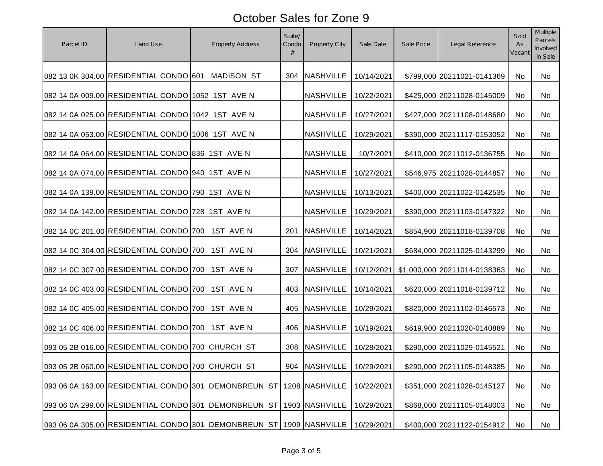| Parcel ID | Land Use                                          | Property Address                                                    | Suite/<br>Condo<br># | Property City                | Sale Date  | Sale Price | Legal Reference              | Sold<br>As<br>Vacani | <b>Multiple</b><br><b>Parcels</b><br>Involved<br>in Sale |
|-----------|---------------------------------------------------|---------------------------------------------------------------------|----------------------|------------------------------|------------|------------|------------------------------|----------------------|----------------------------------------------------------|
|           | 082 13 0K 304.00 RESIDENTIAL CONDO 601 MADISON ST |                                                                     | 304                  | <b>NASHVILLE</b>             | 10/14/2021 |            | \$799,000 20211021-0141369   | No                   | No                                                       |
|           | 082 14 0A 009.00 RESIDENTIAL CONDO 1052 1ST AVE N |                                                                     |                      | <b>NASHVILLE</b>             | 10/22/2021 |            | \$425,000 20211028-0145009   | No                   | No                                                       |
|           | 082 14 0A 025.00 RESIDENTIAL CONDO 1042 1ST AVE N |                                                                     |                      | <b>NASHVILLE</b>             | 10/27/2021 |            | \$427,000 20211108-0148680   | <b>No</b>            | No                                                       |
|           | 082 14 0A 053.00 RESIDENTIAL CONDO 1006 1ST AVE N |                                                                     |                      | <b>NASHVILLE</b>             | 10/29/2021 |            | \$390,000 20211117-0153052   | No.                  | No                                                       |
|           | 082 14 0A 064.00 RESIDENTIAL CONDO 836 1ST AVE N  |                                                                     |                      | <b>NASHVILLE</b>             | 10/7/2021  |            | \$410,000 20211012-0136755   | No                   | No                                                       |
|           | 082 14 0A 074.00 RESIDENTIAL CONDO 940 1ST AVE N  |                                                                     |                      | <b>NASHVILLE</b>             | 10/27/2021 |            | \$546,975 20211028-0144857   | No                   | No                                                       |
|           | 082 14 0A 139.00 RESIDENTIAL CONDO 790 1ST AVE N  |                                                                     |                      | <b>NASHVILLE</b>             | 10/13/2021 |            | \$400,000 20211022-0142535   | No                   | No                                                       |
|           | 082 14 0A 142.00 RESIDENTIAL CONDO 728 1ST AVE N  |                                                                     |                      | <b>NASHVILLE</b>             | 10/29/2021 |            | \$390,000 20211103-0147322   | No.                  | No                                                       |
|           | 082 14 0C 201.00 RESIDENTIAL CONDO 700 1ST AVE N  |                                                                     | 201                  | <b>NASHVILLE</b>             | 10/14/2021 |            | \$854,900 20211018-0139708   | No.                  | No                                                       |
|           | 082 14 0C 304.00 RESIDENTIAL CONDO 700 1ST AVE N  |                                                                     | 304                  | <b>NASHVILLE</b>             | 10/21/2021 |            | \$684,000 20211025-0143299   | <b>No</b>            | No                                                       |
|           | 082 14 0C 307.00 RESIDENTIAL CONDO 700            | 1ST AVE N                                                           | 307                  | <b>NASHVILLE</b>             | 10/12/2021 |            | \$1,000,000 20211014-0138363 | <b>No</b>            | No                                                       |
|           | 082 14 0C 403.00 RESIDENTIAL CONDO 700 1ST AVE N  |                                                                     | 403                  | <b>NASHVILLE</b>             | 10/14/2021 |            | \$620,000 20211018-0139712   | No.                  | No                                                       |
|           | 082 14 0C 405.00 RESIDENTIAL CONDO 700 1ST AVE N  |                                                                     | 405                  | <b>NASHVILLE</b>             | 10/29/2021 |            | \$820,000 20211102-0146573   | No                   | No                                                       |
|           | 082 14 0C 406.00 RESIDENTIAL CONDO 700 1ST AVE N  |                                                                     | 406                  | <b>NASHVILLE</b>             | 10/19/2021 |            | \$619,900 20211020-0140889   | No.                  | No                                                       |
|           | 093 05 2B 016.00 RESIDENTIAL CONDO 700 CHURCH ST  |                                                                     | 308                  | <b>NASHVILLE</b>             | 10/28/2021 |            | \$290,000 20211029-0145521   | No                   | No                                                       |
|           | 093 05 2B 060.00 RESIDENTIAL CONDO 700 CHURCH ST  |                                                                     |                      | 904   NASHVILLE   10/29/2021 |            |            | \$290,000 20211105-0148385   | No.                  | No.                                                      |
|           |                                                   | 093 06 0A 163.00 RESIDENTIAL CONDO 301 DEMONBREUN ST                |                      | 1208 NASHVILLE               | 10/22/2021 |            | \$351,000 20211028-0145127   | No                   | No                                                       |
|           |                                                   | 093 06 0A 299.00 RESIDENTIAL CONDO 301 DEMONBREUN ST                |                      | 1903 NASHVILLE               | 10/29/2021 |            | \$868,000 20211105-0148003   | No                   | No                                                       |
|           |                                                   | 093 06 0A 305.00 RESIDENTIAL CONDO 301 DEMONBREUN ST 1909 NASHVILLE |                      |                              | 10/29/2021 |            | \$400,000 20211122-0154912   | No                   | No                                                       |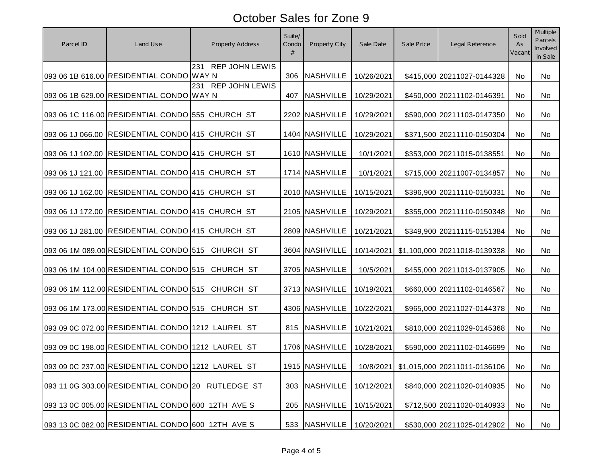| Parcel ID | Land Use                                          | <b>Property Address</b> | Suite/<br>Condo<br># | Property City    | Sale Date  | Sale Price | Legal Reference                            | Sold<br>As<br>Vacant | <b>Multiple</b><br><b>Parcels</b><br>Involved<br>in Sale |
|-----------|---------------------------------------------------|-------------------------|----------------------|------------------|------------|------------|--------------------------------------------|----------------------|----------------------------------------------------------|
|           | 093 06 1B 616.00 RESIDENTIAL CONDO WAY N          | 231 REP JOHN LEWIS      | 306                  | <b>NASHVILLE</b> | 10/26/2021 |            | \$415,000 20211027-0144328                 | No                   | No                                                       |
|           | 093 06 1B 629.00 RESIDENTIAL CONDO WAY N          | 231 REP JOHN LEWIS      | 407                  | <b>NASHVILLE</b> | 10/29/2021 |            | \$450,000 20211102-0146391                 | No                   | No                                                       |
|           | 093 06 1C 116.00 RESIDENTIAL CONDO 555 CHURCH ST  |                         |                      | 2202 NASHVILLE   | 10/29/2021 |            | \$590,000 20211103-0147350                 | No                   | No                                                       |
|           | 093 06 1J 066.00 RESIDENTIAL CONDO 415 CHURCH ST  |                         |                      | 1404 NASHVILLE   | 10/29/2021 |            | \$371,500 20211110-0150304                 | No                   | No                                                       |
|           | 093 06 1J 102.00 RESIDENTIAL CONDO 415 CHURCH ST  |                         |                      | 1610 NASHVILLE   | 10/1/2021  |            | \$353,000 20211015-0138551                 | No                   | No                                                       |
|           | 093 06 1J 121.00 RESIDENTIAL CONDO 415 CHURCH ST  |                         |                      | 1714 NASHVILLE   | 10/1/2021  |            | \$715,000 20211007-0134857                 | No                   | No                                                       |
|           | 093 06 1J 162.00 RESIDENTIAL CONDO 415 CHURCH ST  |                         |                      | 2010 NASHVILLE   | 10/15/2021 |            | \$396,900 20211110-0150331                 | No                   | No                                                       |
|           | 093 06 1J 172.00 RESIDENTIAL CONDO 415 CHURCH ST  |                         |                      | 2105 NASHVILLE   | 10/29/2021 |            | \$355,000 20211110-0150348                 | No                   | No                                                       |
|           | 093 06 1J 281.00 RESIDENTIAL CONDO 415 CHURCH ST  |                         |                      | 2809 NASHVILLE   | 10/21/2021 |            | \$349,900 20211115-0151384                 | No                   | No                                                       |
|           | 093 06 1M 089.00 RESIDENTIAL CONDO 515 CHURCH ST  |                         |                      | 3604 NASHVILLE   | 10/14/2021 |            | \$1,100,000 20211018-0139338               | No                   | No                                                       |
|           | 093 06 1M 104.00 RESIDENTIAL CONDO 515 CHURCH ST  |                         |                      | 3705 NASHVILLE   | 10/5/2021  |            | \$455,000 20211013-0137905                 | No                   | No                                                       |
|           | 093 06 1M 112.00 RESIDENTIAL CONDO 515 CHURCH ST  |                         |                      | 3713 NASHVILLE   | 10/19/2021 |            | \$660,000 20211102-0146567                 | No                   | No                                                       |
|           | 093 06 1M 173.00 RESIDENTIAL CONDO 515 CHURCH ST  |                         |                      | 4306 NASHVILLE   | 10/22/2021 |            | \$965,000 20211027-0144378                 | <b>No</b>            | No                                                       |
|           | 093 09 0C 072.00 RESIDENTIAL CONDO 1212 LAUREL ST |                         | 815                  | <b>NASHVILLE</b> | 10/21/2021 |            | \$810,000 20211029-0145368                 | No                   | No                                                       |
|           | 093 09 0C 198.00 RESIDENTIAL CONDO 1212 LAUREL ST |                         |                      | 1706 NASHVILLE   | 10/28/2021 |            | \$590,000 20211102-0146699                 | No                   | No                                                       |
|           | 093 09 0C 237.00 RESIDENTIAL CONDO 1212 LAUREL ST |                         |                      | 1915 NASHVILLE   |            |            | 10/8/2021   \$1,015,000   20211011-0136106 | No.                  | No.                                                      |
|           | 093 11 0G 303.00 RESIDENTIAL CONDO 20 RUTLEDGE ST |                         | 303                  | <b>NASHVILLE</b> | 10/12/2021 |            | \$840,000 20211020-0140935                 | No                   | No                                                       |
|           | 093 13 0C 005.00 RESIDENTIAL CONDO 600 12TH AVE S |                         | 205                  | <b>NASHVILLE</b> | 10/15/2021 |            | \$712,500 20211020-0140933                 | No                   | No                                                       |
|           | 093 13 0C 082.00 RESIDENTIAL CONDO 600 12TH AVE S |                         | 533                  | <b>NASHVILLE</b> | 10/20/2021 |            | \$530,000 20211025-0142902                 | No                   | No                                                       |